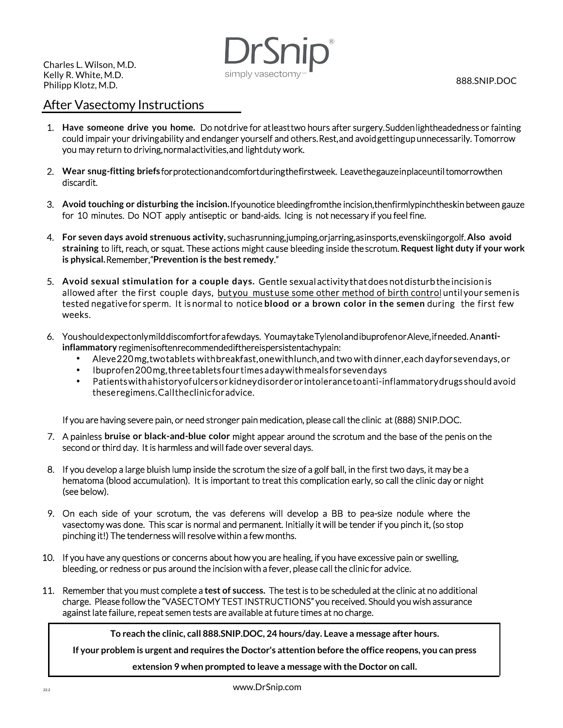Charles L. Wilson, M.D. Kelly R. White, M.D. Philipp Klotz, M.D.

simply vasectomy

888.SNIP.DOC

## After Vasectomy Instructions

- 1. Have someone drive you home. Do notdrive for at least two hours after surgery. Sudden lightheadedness or fainting could impair your driving ability and endanger yourself and others. Rest, and avoid getting up unnecessarily. Tomorrow you may return to driving, normal activities, and light duty work.
- 2. **Wear snug-fitting briefs** for protection and comfort during the first week. Leave the gauze in place until tomorrow then discardit.
- 3. Avoid touching or disturbing the incision. If younotice bleeding from the incision, then firmly pinch theskin between gauze for 10 minutes. Do NOT apply antiseptic or band-aids. Icing is not necessary if you feel fine.
- 4. **For seven days avoid strenuous activity,** such as running, jumping, or jarring, as in sports, even skiing or golf. **Also avoid straining** to lift, reach, or squat. These actions might cause bleeding inside the scrotum. **Request light duty if your work is physical.** Remember, "**Prevention is the best remedy**."
- 5. **Avoid sexual stimulation for a couple days.** Gentle sexual activity that does not disturb the incision is allowed after the first couple days, butyou mustuse some other method of birth control until your semen is tested negative for sperm. It is normal to notice **blood or a brown color in the semen** during the first few weeks.
- 6. You should expect only mild discomfort for a few days. You may take Tylenol and ibuprofen or Aleve, if needed. An **antiinflammatory** regimenis of ten recommended if the reispers is tentachy pain:
	- Aleve 220 mg, two tablets with breakfast, one with lunch, and two with dinner, each day for seven days, or
	- Ibuprofen 200 mg, three tablets four times a day with meals for seven days
	- Patients with a history of ulcers or kidney disorder or intolerance to anti-inflammatory drugs should avoid these regimens. Call the clinic for advice.

If you are having severe pain, or need stronger pain medication, please call the clinic at (888) SNIP.DOC.

- 7. A painless **bruise or black-and-blue color** might appear around the scrotum and the base of the penis on the second or third day. It is harmless and will fade over several days.
- 8. If you develop a large bluish lump inside the scrotum the size of a golf ball, in the first two days, it may be a hematoma (blood accumulation). It is important to treat this complication early, so call the clinic day or night (see below).
- 9. On each side of your scrotum, the vas deferens will develop a BB to pea-size nodule where the vasectomy was done. This scar is normal and permanent. Initially it will be tender if you pinch it, (so stop pinching it!) The tenderness will resolve within a few months.
- 10. If you have any questions or concerns about how you are healing, if you have excessive pain or swelling, bleeding, or redness or pus around the incision with a fever, please call the clinic for advice.
- 11. Remember that you must complete a **test of success.** The test is to be scheduled at the clinic at no additional charge. Please follow the "VASECTOMY TEST INSTRUCTIONS" you received. Should you wish assurance against late failure, repeat semen tests are available at future times at no charge.

**To reach the clinic, call 888.SNIP.DOC, 24 hours/day. Leave a message after hours.** 

**If your problem is urgent and requires the Doctor's attention before the office reopens, you can press** 

**extension 9 when prompted to leave a message with the Doctor on call.**